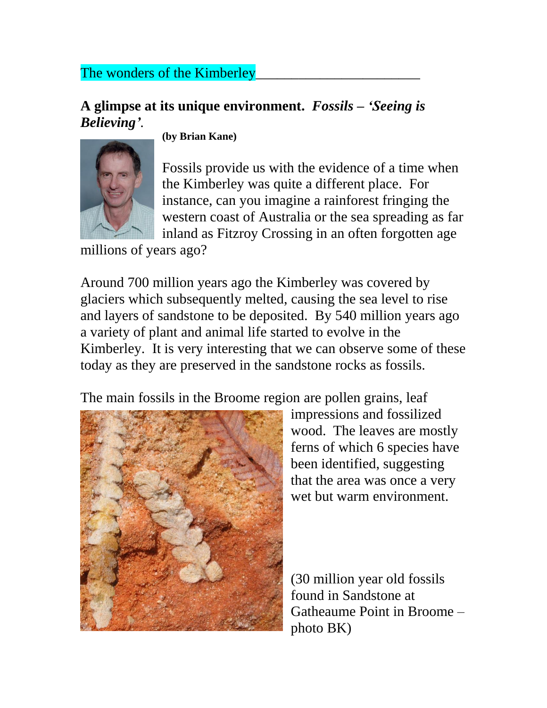## The wonders of the Kimberley

## **A glimpse at its unique environment.** *Fossils – 'Seeing is Believing'.*



**(by Brian Kane)**

Fossils provide us with the evidence of a time when the Kimberley was quite a different place. For instance, can you imagine a rainforest fringing the western coast of Australia or the sea spreading as far inland as Fitzroy Crossing in an often forgotten age

millions of years ago?

Around 700 million years ago the Kimberley was covered by glaciers which subsequently melted, causing the sea level to rise and layers of sandstone to be deposited. By 540 million years ago a variety of plant and animal life started to evolve in the Kimberley. It is very interesting that we can observe some of these today as they are preserved in the sandstone rocks as fossils.

The main fossils in the Broome region are pollen grains, leaf



impressions and fossilized wood. The leaves are mostly ferns of which 6 species have been identified, suggesting that the area was once a very wet but warm environment.

(30 million year old fossils found in Sandstone at Gatheaume Point in Broome – photo BK)